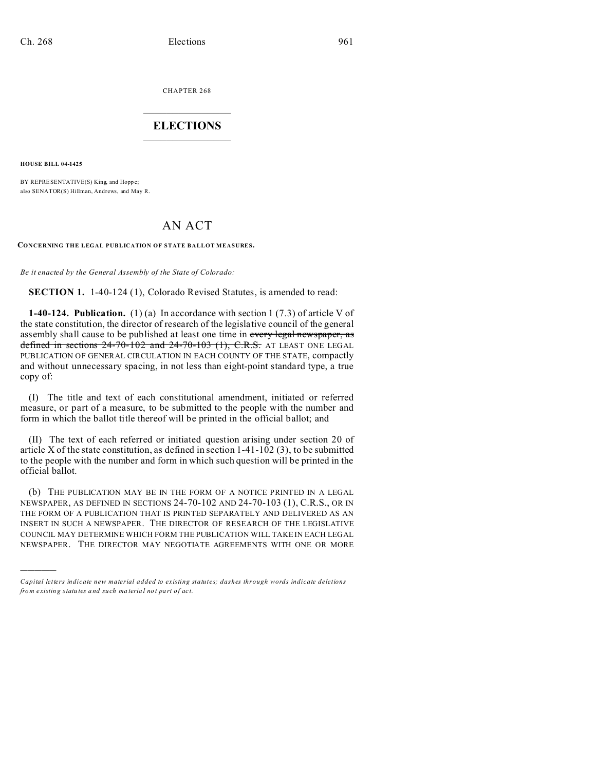CHAPTER 268  $\overline{\phantom{a}}$  , where  $\overline{\phantom{a}}$ 

## **ELECTIONS**  $\_$

**HOUSE BILL 04-1425**

)))))

BY REPRESENTATIVE(S) King, and Hoppe; also SENATOR(S) Hillman, Andrews, and May R.

## AN ACT

**CONCERNING THE LEGAL PUBLICATION OF STATE BALLOT MEASURES.**

*Be it enacted by the General Assembly of the State of Colorado:*

**SECTION 1.** 1-40-124 (1), Colorado Revised Statutes, is amended to read:

**1-40-124. Publication.** (1) (a) In accordance with section 1 (7.3) of article V of the state constitution, the director of research of the legislative council of the general assembly shall cause to be published at least one time in every legal newspaper, as defined in sections  $24-70-102$  and  $24-70-103$  (1), C.R.S. AT LEAST ONE LEGAL PUBLICATION OF GENERAL CIRCULATION IN EACH COUNTY OF THE STATE, compactly and without unnecessary spacing, in not less than eight-point standard type, a true copy of:

(I) The title and text of each constitutional amendment, initiated or referred measure, or part of a measure, to be submitted to the people with the number and form in which the ballot title thereof will be printed in the official ballot; and

(II) The text of each referred or initiated question arising under section 20 of article X of the state constitution, as defined in section 1-41-102 (3), to be submitted to the people with the number and form in which such question will be printed in the official ballot.

(b) THE PUBLICATION MAY BE IN THE FORM OF A NOTICE PRINTED IN A LEGAL NEWSPAPER, AS DEFINED IN SECTIONS 24-70-102 AND 24-70-103 (1), C.R.S., OR IN THE FORM OF A PUBLICATION THAT IS PRINTED SEPARATELY AND DELIVERED AS AN INSERT IN SUCH A NEWSPAPER. THE DIRECTOR OF RESEARCH OF THE LEGISLATIVE COUNCIL MAY DETERMINE WHICH FORM THE PUBLICATION WILL TAKE IN EACH LEGAL NEWSPAPER. THE DIRECTOR MAY NEGOTIATE AGREEMENTS WITH ONE OR MORE

*Capital letters indicate new material added to existing statutes; dashes through words indicate deletions from e xistin g statu tes a nd such ma teria l no t pa rt of ac t.*